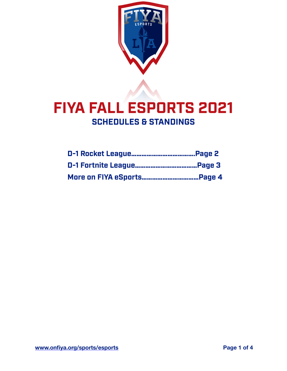

# **FIYA FALL ESPORTS 2021 SCHEDULES & STANDINGS**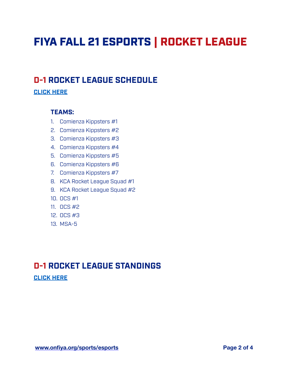# FIYA FALL 21 ESPORTS | ROCKET LEAGUE

## **D-1 ROCKET LEAGUE SCHEDULE**

### **[CLICK HERE](https://onfiya.leagueapps.com/leagues/2450850/schedule)**

#### **TEAMS:**

- 1. Comienza Kippsters #1
- 2. Comienza Kippsters #2
- 3. Comienza Kippsters #3
- 4. Comienza Kippsters #4
- 5. Comienza Kippsters #5
- 6. Comienza Kippsters #6
- 7. Comienza Kippsters #7
- 8. KCA Rocket League Squad #1
- 9. KCA Rocket League Squad #2
- 10. OCS #1
- 11. OCS #2
- 12. OCS #3
- 13. MSA-5

# **D-1 ROCKET LEAGUE STANDINGS**

**[CLICK HERE](https://onfiya.leagueapps.com/leagues/2450850/standings)**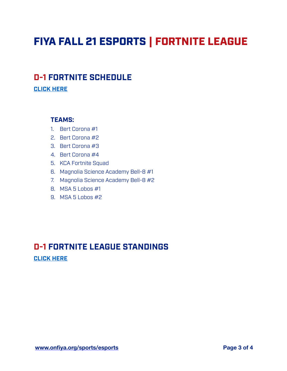# FIYA FALL 21 ESPORTS | FORTNITE LEAGUE

## **D-1 FORTNITE SCHEDULE**

**[CLICK HERE](https://onfiya.leagueapps.com/leagues/2450838/schedule)**

#### **TEAMS:**

- 1. Bert Corona #1
- 2. Bert Corona #2
- 3. Bert Corona #3
- 4. Bert Corona #4
- 5. KCA Fortnite Squad
- 6. Magnolia Science Academy Bell-8 #1
- 7. Magnolia Science Academy Bell-8 #2
- 8. MSA 5 Lobos #1
- 9. MSA 5 Lobos #2

## **D-1 FORTNITE LEAGUE STANDINGS [CLICK HERE](https://onfiya.leagueapps.com/leagues/2450838/standings)**